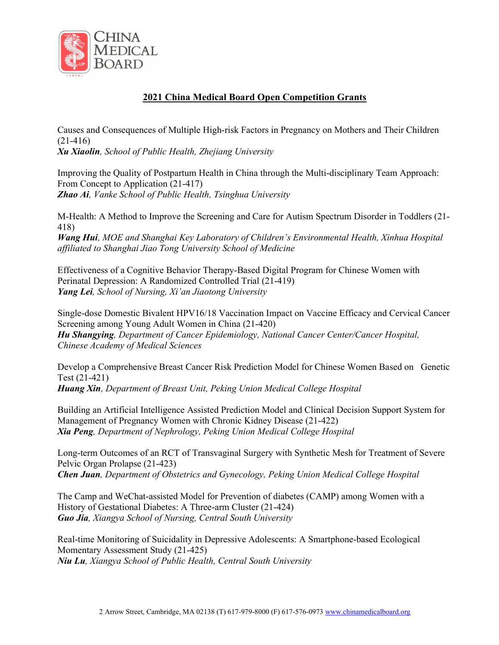

## 2021 China Medical Board Open Competition Grants

Causes and Consequences of Multiple High-risk Factors in Pregnancy on Mothers and Their Children (21-416)

Xu Xiaolin, School of Public Health, Zhejiang University

Improving the Quality of Postpartum Health in China through the Multi-disciplinary Team Approach: From Concept to Application (21-417) Zhao Ai, Vanke School of Public Health, Tsinghua University

M-Health: A Method to Improve the Screening and Care for Autism Spectrum Disorder in Toddlers (21- 418)

Wang Hui, MOE and Shanghai Key Laboratory of Children's Environmental Health, Xinhua Hospital affiliated to Shanghai Jiao Tong University School of Medicine

Effectiveness of a Cognitive Behavior Therapy-Based Digital Program for Chinese Women with Perinatal Depression: A Randomized Controlled Trial (21-419) Yang Lei, School of Nursing, Xi'an Jiaotong University

Single-dose Domestic Bivalent HPV16/18 Vaccination Impact on Vaccine Efficacy and Cervical Cancer Screening among Young Adult Women in China (21-420) Hu Shangying, Department of Cancer Epidemiology, National Cancer Center/Cancer Hospital, Chinese Academy of Medical Sciences

Develop a Comprehensive Breast Cancer Risk Prediction Model for Chinese Women Based on Genetic Test (21-421) Huang Xin, Department of Breast Unit, Peking Union Medical College Hospital

Building an Artificial Intelligence Assisted Prediction Model and Clinical Decision Support System for Management of Pregnancy Women with Chronic Kidney Disease (21-422) Xia Peng, Department of Nephrology, Peking Union Medical College Hospital

Long-term Outcomes of an RCT of Transvaginal Surgery with Synthetic Mesh for Treatment of Severe Pelvic Organ Prolapse (21-423) Chen Juan, Department of Obstetrics and Gynecology, Peking Union Medical College Hospital

The Camp and WeChat-assisted Model for Prevention of diabetes (CAMP) among Women with a History of Gestational Diabetes: A Three-arm Cluster (21-424) Guo Jia, Xiangya School of Nursing, Central South University

Real-time Monitoring of Suicidality in Depressive Adolescents: A Smartphone-based Ecological Momentary Assessment Study (21-425) Niu Lu, Xiangya School of Public Health, Central South University